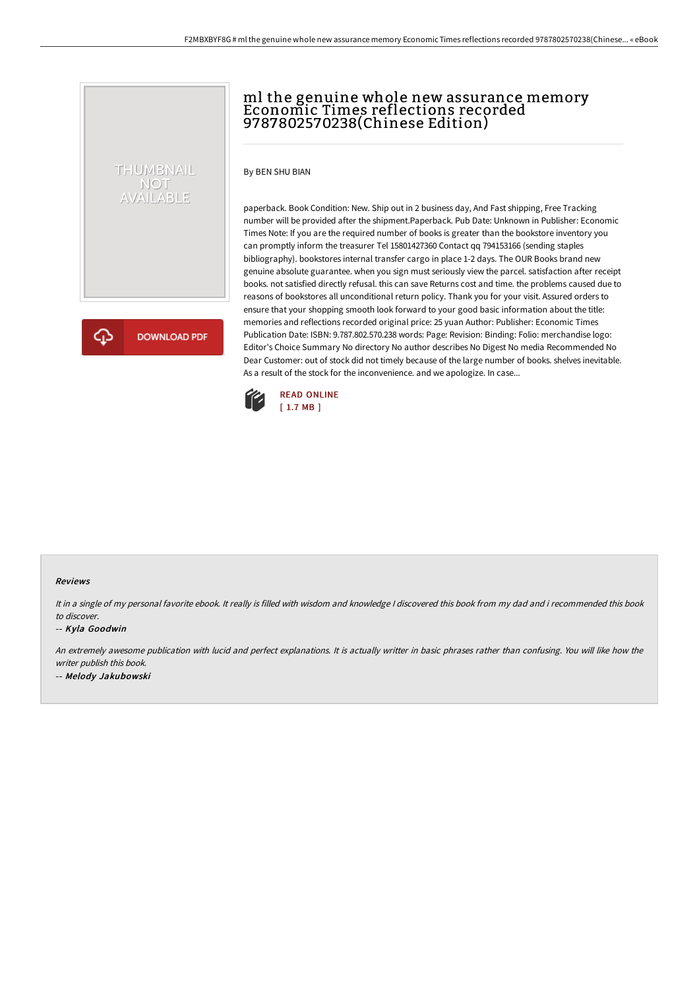# THUMBNAIL NOT<br>AVAILABLE

**DOWNLOAD PDF** 

ml the genuine whole new assurance memory Economic Times reflections recorded 9787802570238(Chinese Edition)

By BEN SHU BIAN

paperback. Book Condition: New. Ship out in 2 business day, And Fast shipping, Free Tracking number will be provided after the shipment.Paperback. Pub Date: Unknown in Publisher: Economic Times Note: If you are the required number of books is greater than the bookstore inventory you can promptly inform the treasurer Tel 15801427360 Contact qq 794153166 (sending staples bibliography). bookstores internal transfer cargo in place 1-2 days. The OUR Books brand new genuine absolute guarantee. when you sign must seriously view the parcel. satisfaction after receipt books. not satisfied directly refusal. this can save Returns cost and time. the problems caused due to reasons of bookstores all unconditional return policy. Thank you for your visit. Assured orders to ensure that your shopping smooth look forward to your good basic information about the title: memories and reflections recorded original price: 25 yuan Author: Publisher: Economic Times Publication Date: ISBN: 9.787.802.570.238 words: Page: Revision: Binding: Folio: merchandise logo: Editor's Choice Summary No directory No author describes No Digest No media Recommended No Dear Customer: out of stock did not timely because of the large number of books. shelves inevitable. As a result of the stock for the inconvenience. and we apologize. In case...



#### Reviews

It in <sup>a</sup> single of my personal favorite ebook. It really is filled with wisdom and knowledge <sup>I</sup> discovered this book from my dad and i recommended this book to discover.

-- Kyla Goodwin

An extremely awesome publication with lucid and perfect explanations. It is actually writter in basic phrases rather than confusing. You will like how the writer publish this book. -- Melody Jakubowski